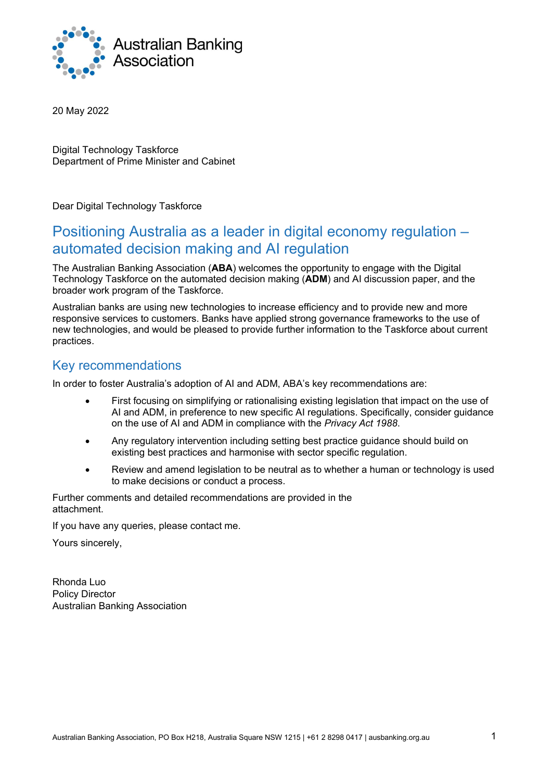

20 May 2022

Digital Technology Taskforce Department of Prime Minister and Cabinet

Dear Digital Technology Taskforce

# Positioning Australia as a leader in digital economy regulation – automated decision making and AI regulation

The Australian Banking Association (ABA) welcomes the opportunity to engage with the Digital Technology Taskforce on the automated decision making (ADM) and AI discussion paper, and the broader work program of the Taskforce.

Australian banks are using new technologies to increase efficiency and to provide new and more responsive services to customers. Banks have applied strong governance frameworks to the use of new technologies, and would be pleased to provide further information to the Taskforce about current practices.

# Key recommendations

In order to foster Australia's adoption of AI and ADM, ABA's key recommendations are:

- First focusing on simplifying or rationalising existing legislation that impact on the use of AI and ADM, in preference to new specific AI regulations. Specifically, consider guidance on the use of AI and ADM in compliance with the Privacy Act 1988.
- Any regulatory intervention including setting best practice guidance should build on existing best practices and harmonise with sector specific regulation.
- Review and amend legislation to be neutral as to whether a human or technology is used to make decisions or conduct a process.

Further comments and detailed recommendations are provided in the attachment.

If you have any queries, please contact me.

Yours sincerely,

Rhonda Luo Policy Director Australian Banking Association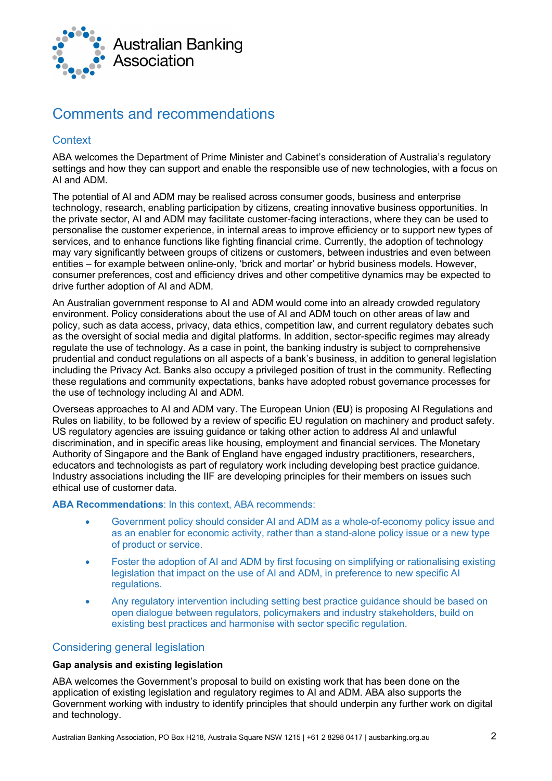

# Comments and recommendations

## **Context**

ABA welcomes the Department of Prime Minister and Cabinet's consideration of Australia's regulatory settings and how they can support and enable the responsible use of new technologies, with a focus on AI and ADM.

The potential of AI and ADM may be realised across consumer goods, business and enterprise technology, research, enabling participation by citizens, creating innovative business opportunities. In the private sector, AI and ADM may facilitate customer-facing interactions, where they can be used to personalise the customer experience, in internal areas to improve efficiency or to support new types of services, and to enhance functions like fighting financial crime. Currently, the adoption of technology may vary significantly between groups of citizens or customers, between industries and even between entities – for example between online-only, 'brick and mortar' or hybrid business models. However, consumer preferences, cost and efficiency drives and other competitive dynamics may be expected to drive further adoption of AI and ADM.

An Australian government response to AI and ADM would come into an already crowded regulatory environment. Policy considerations about the use of AI and ADM touch on other areas of law and policy, such as data access, privacy, data ethics, competition law, and current regulatory debates such as the oversight of social media and digital platforms. In addition, sector-specific regimes may already regulate the use of technology. As a case in point, the banking industry is subject to comprehensive prudential and conduct regulations on all aspects of a bank's business, in addition to general legislation including the Privacy Act. Banks also occupy a privileged position of trust in the community. Reflecting these regulations and community expectations, banks have adopted robust governance processes for the use of technology including AI and ADM.

Overseas approaches to AI and ADM vary. The European Union (EU) is proposing AI Regulations and Rules on liability, to be followed by a review of specific EU regulation on machinery and product safety. US regulatory agencies are issuing guidance or taking other action to address AI and unlawful discrimination, and in specific areas like housing, employment and financial services. The Monetary Authority of Singapore and the Bank of England have engaged industry practitioners, researchers, educators and technologists as part of regulatory work including developing best practice guidance. Industry associations including the IIF are developing principles for their members on issues such ethical use of customer data.

ABA Recommendations: In this context, ABA recommends:

- Government policy should consider AI and ADM as a whole-of-economy policy issue and as an enabler for economic activity, rather than a stand-alone policy issue or a new type of product or service.
- Foster the adoption of AI and ADM by first focusing on simplifying or rationalising existing legislation that impact on the use of AI and ADM, in preference to new specific AI regulations.
- Any regulatory intervention including setting best practice guidance should be based on open dialogue between regulators, policymakers and industry stakeholders, build on existing best practices and harmonise with sector specific regulation.

## Considering general legislation

#### Gap analysis and existing legislation

ABA welcomes the Government's proposal to build on existing work that has been done on the application of existing legislation and regulatory regimes to AI and ADM. ABA also supports the Government working with industry to identify principles that should underpin any further work on digital and technology.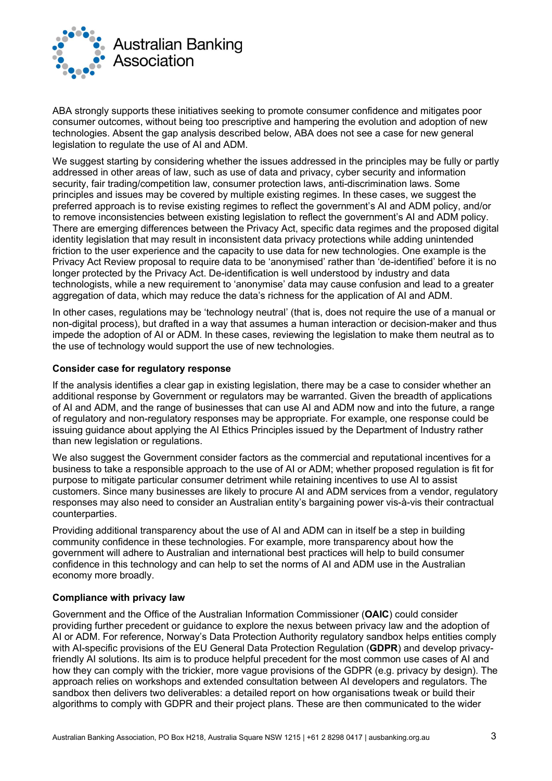

ABA strongly supports these initiatives seeking to promote consumer confidence and mitigates poor consumer outcomes, without being too prescriptive and hampering the evolution and adoption of new technologies. Absent the gap analysis described below, ABA does not see a case for new general legislation to regulate the use of AI and ADM.

We suggest starting by considering whether the issues addressed in the principles may be fully or partly addressed in other areas of law, such as use of data and privacy, cyber security and information security, fair trading/competition law, consumer protection laws, anti-discrimination laws. Some principles and issues may be covered by multiple existing regimes. In these cases, we suggest the preferred approach is to revise existing regimes to reflect the government's AI and ADM policy, and/or to remove inconsistencies between existing legislation to reflect the government's AI and ADM policy. There are emerging differences between the Privacy Act, specific data regimes and the proposed digital identity legislation that may result in inconsistent data privacy protections while adding unintended friction to the user experience and the capacity to use data for new technologies. One example is the Privacy Act Review proposal to require data to be 'anonymised' rather than 'de-identified' before it is no longer protected by the Privacy Act. De-identification is well understood by industry and data technologists, while a new requirement to 'anonymise' data may cause confusion and lead to a greater aggregation of data, which may reduce the data's richness for the application of AI and ADM.

In other cases, regulations may be 'technology neutral' (that is, does not require the use of a manual or non-digital process), but drafted in a way that assumes a human interaction or decision-maker and thus impede the adoption of AI or ADM. In these cases, reviewing the legislation to make them neutral as to the use of technology would support the use of new technologies.

#### Consider case for regulatory response

If the analysis identifies a clear gap in existing legislation, there may be a case to consider whether an additional response by Government or regulators may be warranted. Given the breadth of applications of AI and ADM, and the range of businesses that can use AI and ADM now and into the future, a range of regulatory and non-regulatory responses may be appropriate. For example, one response could be issuing guidance about applying the AI Ethics Principles issued by the Department of Industry rather than new legislation or regulations.

We also suggest the Government consider factors as the commercial and reputational incentives for a business to take a responsible approach to the use of AI or ADM; whether proposed regulation is fit for purpose to mitigate particular consumer detriment while retaining incentives to use AI to assist customers. Since many businesses are likely to procure AI and ADM services from a vendor, regulatory responses may also need to consider an Australian entity's bargaining power vis-à-vis their contractual counterparties.

Providing additional transparency about the use of AI and ADM can in itself be a step in building community confidence in these technologies. For example, more transparency about how the government will adhere to Australian and international best practices will help to build consumer confidence in this technology and can help to set the norms of AI and ADM use in the Australian economy more broadly.

#### Compliance with privacy law

Government and the Office of the Australian Information Commissioner (OAIC) could consider providing further precedent or guidance to explore the nexus between privacy law and the adoption of AI or ADM. For reference, Norway's Data Protection Authority regulatory sandbox helps entities comply with AI-specific provisions of the EU General Data Protection Regulation (GDPR) and develop privacyfriendly AI solutions. Its aim is to produce helpful precedent for the most common use cases of AI and how they can comply with the trickier, more vague provisions of the GDPR (e.g. privacy by design). The approach relies on workshops and extended consultation between AI developers and regulators. The sandbox then delivers two deliverables: a detailed report on how organisations tweak or build their algorithms to comply with GDPR and their project plans. These are then communicated to the wider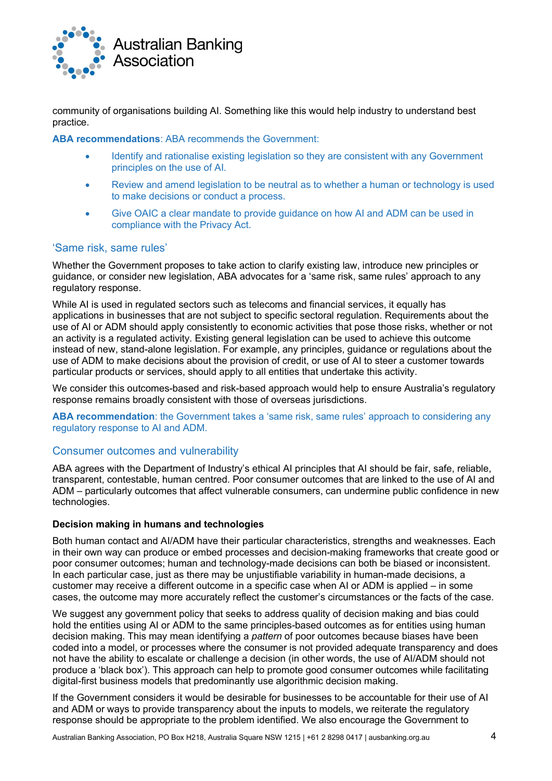

community of organisations building AI. Something like this would help industry to understand best practice.

ABA recommendations: ABA recommends the Government:

- Identify and rationalise existing legislation so they are consistent with any Government principles on the use of AI.
- Review and amend legislation to be neutral as to whether a human or technology is used to make decisions or conduct a process.
- Give OAIC a clear mandate to provide guidance on how AI and ADM can be used in compliance with the Privacy Act.

## 'Same risk, same rules'

Whether the Government proposes to take action to clarify existing law, introduce new principles or guidance, or consider new legislation, ABA advocates for a 'same risk, same rules' approach to any regulatory response.

While AI is used in regulated sectors such as telecoms and financial services, it equally has applications in businesses that are not subject to specific sectoral regulation. Requirements about the use of AI or ADM should apply consistently to economic activities that pose those risks, whether or not an activity is a regulated activity. Existing general legislation can be used to achieve this outcome instead of new, stand-alone legislation. For example, any principles, guidance or regulations about the use of ADM to make decisions about the provision of credit, or use of AI to steer a customer towards particular products or services, should apply to all entities that undertake this activity.

We consider this outcomes-based and risk-based approach would help to ensure Australia's regulatory response remains broadly consistent with those of overseas jurisdictions.

ABA recommendation: the Government takes a 'same risk, same rules' approach to considering any regulatory response to AI and ADM.

### Consumer outcomes and vulnerability

ABA agrees with the Department of Industry's ethical AI principles that AI should be fair, safe, reliable, transparent, contestable, human centred. Poor consumer outcomes that are linked to the use of AI and ADM – particularly outcomes that affect vulnerable consumers, can undermine public confidence in new technologies.

#### Decision making in humans and technologies

Both human contact and AI/ADM have their particular characteristics, strengths and weaknesses. Each in their own way can produce or embed processes and decision-making frameworks that create good or poor consumer outcomes; human and technology-made decisions can both be biased or inconsistent. In each particular case, just as there may be unjustifiable variability in human-made decisions, a customer may receive a different outcome in a specific case when AI or ADM is applied – in some cases, the outcome may more accurately reflect the customer's circumstances or the facts of the case.

We suggest any government policy that seeks to address quality of decision making and bias could hold the entities using AI or ADM to the same principles-based outcomes as for entities using human decision making. This may mean identifying a *pattern* of poor outcomes because biases have been coded into a model, or processes where the consumer is not provided adequate transparency and does not have the ability to escalate or challenge a decision (in other words, the use of AI/ADM should not produce a 'black box'). This approach can help to promote good consumer outcomes while facilitating digital-first business models that predominantly use algorithmic decision making.

If the Government considers it would be desirable for businesses to be accountable for their use of AI and ADM or ways to provide transparency about the inputs to models, we reiterate the regulatory response should be appropriate to the problem identified. We also encourage the Government to